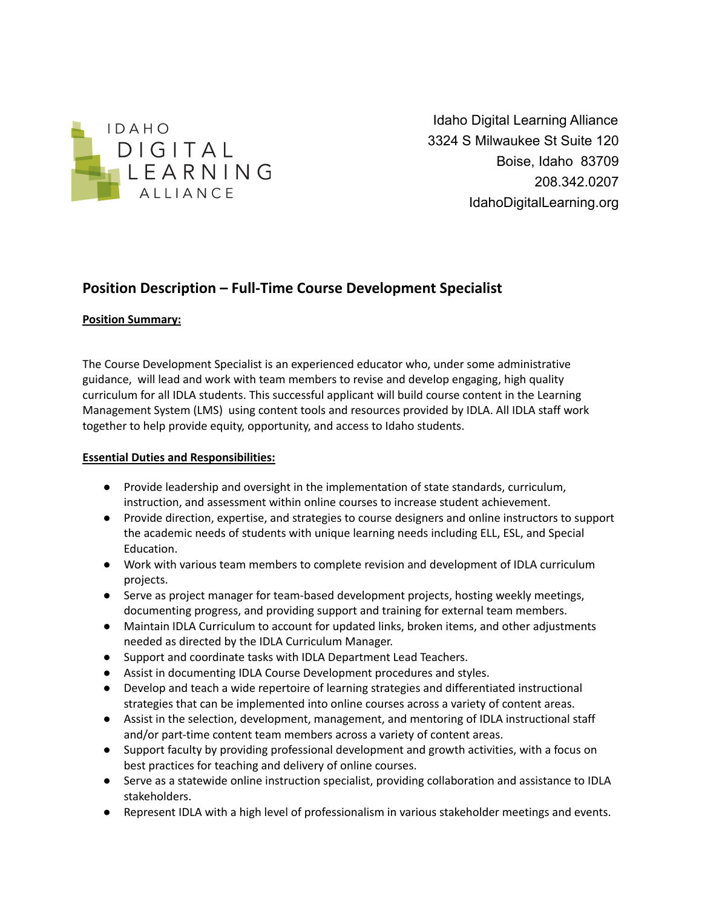

Idaho Digital Learning Alliance 3324 S Milwaukee St Suite 120 Boise, Idaho 83709 208.342.0207 IdahoDigitalLearning.org

# **Position Description – Full-Time Course Development Specialist**

## **Position Summary:**

The Course Development Specialist is an experienced educator who, under some administrative guidance, will lead and work with team members to revise and develop engaging, high quality curriculum for all IDLA students. This successful applicant will build course content in the Learning Management System (LMS) using content tools and resources provided by IDLA. All IDLA staff work together to help provide equity, opportunity, and access to Idaho students.

## **Essential Duties and Responsibilities:**

- Provide leadership and oversight in the implementation of state standards, curriculum, instruction, and assessment within online courses to increase student achievement.
- Provide direction, expertise, and strategies to course designers and online instructors to support the academic needs of students with unique learning needs including ELL, ESL, and Special Education.
- Work with various team members to complete revision and development of IDLA curriculum projects.
- Serve as project manager for team-based development projects, hosting weekly meetings, documenting progress, and providing support and training for external team members.
- Maintain IDLA Curriculum to account for updated links, broken items, and other adjustments needed as directed by the IDLA Curriculum Manager.
- Support and coordinate tasks with IDLA Department Lead Teachers.
- Assist in documenting IDLA Course Development procedures and styles.
- Develop and teach a wide repertoire of learning strategies and differentiated instructional strategies that can be implemented into online courses across a variety of content areas.
- Assist in the selection, development, management, and mentoring of IDLA instructional staff and/or part-time content team members across a variety of content areas.
- Support faculty by providing professional development and growth activities, with a focus on best practices for teaching and delivery of online courses.
- Serve as a statewide online instruction specialist, providing collaboration and assistance to IDLA stakeholders.
- Represent IDLA with a high level of professionalism in various stakeholder meetings and events.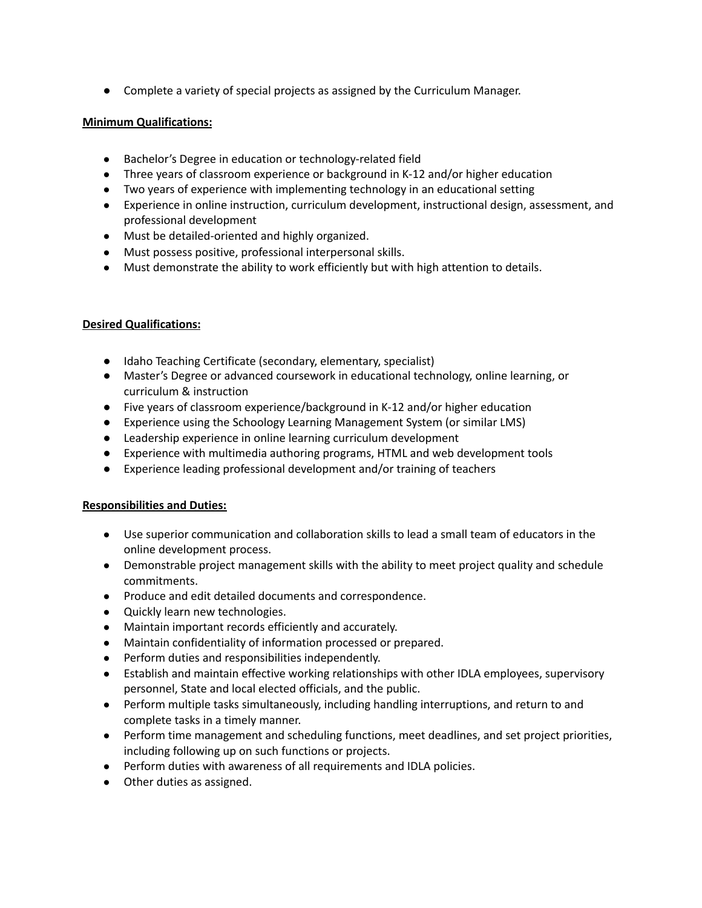● Complete a variety of special projects as assigned by the Curriculum Manager.

#### **Minimum Qualifications:**

- Bachelor's Degree in education or technology-related field
- Three years of classroom experience or background in K-12 and/or higher education
- Two years of experience with implementing technology in an educational setting
- Experience in online instruction, curriculum development, instructional design, assessment, and professional development
- Must be detailed-oriented and highly organized.
- Must possess positive, professional interpersonal skills.
- Must demonstrate the ability to work efficiently but with high attention to details.

#### **Desired Qualifications:**

- Idaho Teaching Certificate (secondary, elementary, specialist)
- Master's Degree or advanced coursework in educational technology, online learning, or curriculum & instruction
- Five years of classroom experience/background in K-12 and/or higher education
- Experience using the Schoology Learning Management System (or similar LMS)
- Leadership experience in online learning curriculum development
- Experience with multimedia authoring programs, HTML and web development tools
- Experience leading professional development and/or training of teachers

#### **Responsibilities and Duties:**

- Use superior communication and collaboration skills to lead a small team of educators in the online development process.
- Demonstrable project management skills with the ability to meet project quality and schedule commitments.
- Produce and edit detailed documents and correspondence.
- Quickly learn new technologies.
- Maintain important records efficiently and accurately.
- Maintain confidentiality of information processed or prepared.
- Perform duties and responsibilities independently.
- Establish and maintain effective working relationships with other IDLA employees, supervisory personnel, State and local elected officials, and the public.
- Perform multiple tasks simultaneously, including handling interruptions, and return to and complete tasks in a timely manner.
- Perform time management and scheduling functions, meet deadlines, and set project priorities, including following up on such functions or projects.
- Perform duties with awareness of all requirements and IDLA policies.
- Other duties as assigned.